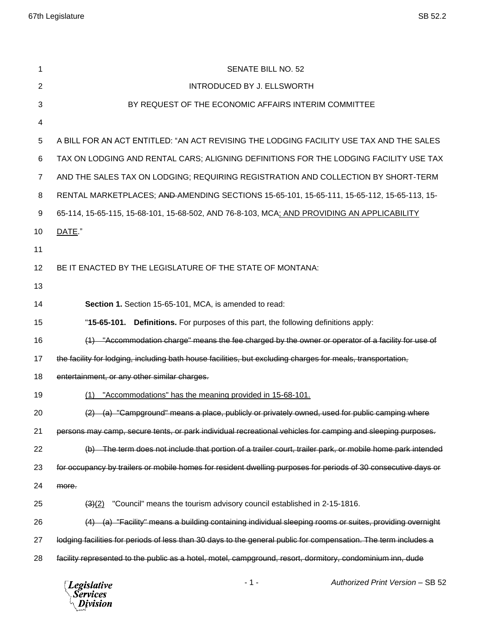| 1              | <b>SENATE BILL NO. 52</b>                                                                                       |
|----------------|-----------------------------------------------------------------------------------------------------------------|
| $\overline{2}$ | INTRODUCED BY J. ELLSWORTH                                                                                      |
| 3              | BY REQUEST OF THE ECONOMIC AFFAIRS INTERIM COMMITTEE                                                            |
| 4              |                                                                                                                 |
| 5              | A BILL FOR AN ACT ENTITLED: "AN ACT REVISING THE LODGING FACILITY USE TAX AND THE SALES                         |
| 6              | TAX ON LODGING AND RENTAL CARS; ALIGNING DEFINITIONS FOR THE LODGING FACILITY USE TAX                           |
| $\overline{7}$ | AND THE SALES TAX ON LODGING; REQUIRING REGISTRATION AND COLLECTION BY SHORT-TERM                               |
| 8              | RENTAL MARKETPLACES; AND AMENDING SECTIONS 15-65-101, 15-65-111, 15-65-112, 15-65-113, 15-                      |
| 9              | 65-114, 15-65-115, 15-68-101, 15-68-502, AND 76-8-103, MCA; AND PROVIDING AN APPLICABILITY                      |
| 10             | DATE."                                                                                                          |
| 11             |                                                                                                                 |
| 12             | BE IT ENACTED BY THE LEGISLATURE OF THE STATE OF MONTANA:                                                       |
| 13             |                                                                                                                 |
| 14             | Section 1. Section 15-65-101, MCA, is amended to read:                                                          |
| 15             | Definitions. For purposes of this part, the following definitions apply:<br>"15-65-101.                         |
| 16             | (1) "Accommodation charge" means the fee charged by the owner or operator of a facility for use of              |
| 17             | the facility for lodging, including bath house facilities, but excluding charges for meals, transportation,     |
| 18             | entertainment, or any other similar charges.                                                                    |
| 19             | "Accommodations" has the meaning provided in 15-68-101.<br>(1)                                                  |
| 20             | (2) (a) "Campground" means a place, publicly or privately owned, used for public camping where                  |
| 21             | persons may camp, secure tents, or park individual recreational vehicles for camping and sleeping purposes.     |
| 22             | (b) The term does not include that portion of a trailer court, trailer park, or mobile home park intended       |
| 23             | for occupancy by trailers or mobile homes for resident dwelling purposes for periods of 30 consecutive days or  |
| 24             | more.                                                                                                           |
| 25             | "Council" means the tourism advisory council established in 2-15-1816.<br>(3)(2)                                |
| 26             | (4) (a) "Facility" means a building containing individual sleeping rooms or suites, providing overnight         |
| 27             | lodging facilities for periods of less than 30 days to the general public for compensation. The term includes a |
| 28             | facility represented to the public as a hotel, motel, campground, resort, dormitory, condominium inn, dude      |
|                | Authorized Print Version - SB 52<br>$-1-$<br><b>Legislative</b><br><b>Services</b><br>Division                  |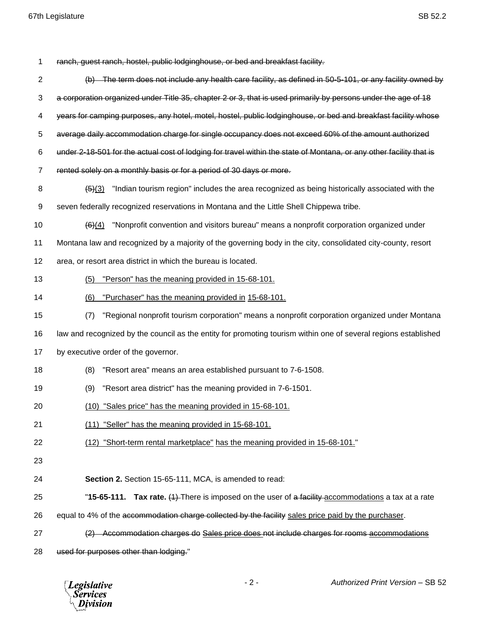ranch, guest ranch, hostel, public lodginghouse, or bed and breakfast facility.

(b) The term does not include any health care facility, as defined in 50-5-101, or any facility owned by

a corporation organized under Title 35, chapter 2 or 3, that is used primarily by persons under the age of 18

years for camping purposes, any hotel, motel, hostel, public lodginghouse, or bed and breakfast facility whose

average daily accommodation charge for single occupancy does not exceed 60% of the amount authorized

under 2-18-501 for the actual cost of lodging for travel within the state of Montana, or any other facility that is

- rented solely on a monthly basis or for a period of 30 days or more.
- (5)(3) "Indian tourism region" includes the area recognized as being historically associated with the
- seven federally recognized reservations in Montana and the Little Shell Chippewa tribe.

10  $(6)(4)$  "Nonprofit convention and visitors bureau" means a nonprofit corporation organized under

Montana law and recognized by a majority of the governing body in the city, consolidated city-county, resort

area, or resort area district in which the bureau is located.

(5) "Person" has the meaning provided in 15-68-101.

(6) "Purchaser" has the meaning provided in 15-68-101.

 (7) "Regional nonprofit tourism corporation" means a nonprofit corporation organized under Montana law and recognized by the council as the entity for promoting tourism within one of several regions established

by executive order of the governor.

- (8) "Resort area" means an area established pursuant to 7-6-1508.
- (9) "Resort area district" has the meaning provided in 7-6-1501.
- (10) "Sales price" has the meaning provided in 15-68-101.
- (11) "Seller" has the meaning provided in 15-68-101.
- (12) "Short-term rental marketplace" has the meaning provided in 15-68-101."
- 

**Section 2.** Section 15-65-111, MCA, is amended to read:

- "**15-65-111. Tax rate.** (1) There is imposed on the user of a facility accommodations a tax at a rate
- 26 equal to 4% of the accommodation charge collected by the facility sales price paid by the purchaser.
- (2) Accommodation charges do Sales price does not include charges for rooms accommodations
- used for purposes other than lodging."

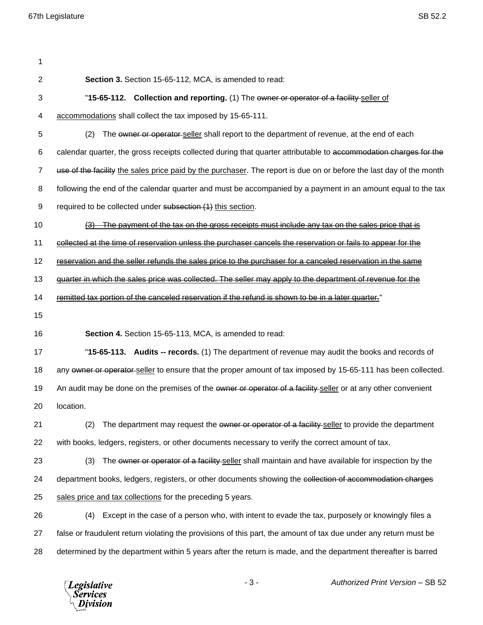| 1              |                                                                                                                     |
|----------------|---------------------------------------------------------------------------------------------------------------------|
| 2              | Section 3. Section 15-65-112, MCA, is amended to read:                                                              |
| 3              | "15-65-112. Collection and reporting. (1) The owner or operator of a facility-seller of                             |
| 4              | accommodations shall collect the tax imposed by 15-65-111.                                                          |
| 5              | The owner or operator seller shall report to the department of revenue, at the end of each<br>(2)                   |
| 6              | calendar quarter, the gross receipts collected during that quarter attributable to accommodation charges for the    |
| $\overline{7}$ | use of the facility the sales price paid by the purchaser. The report is due on or before the last day of the month |
| 8              | following the end of the calendar quarter and must be accompanied by a payment in an amount equal to the tax        |
| 9              | required to be collected under subsection (1) this section.                                                         |
| 10             | The payment of the tax on the gross receipts must include any tax on the sales price that is<br>(3)                 |
| 11             | collected at the time of reservation unless the purchaser cancels the reservation or fails to appear for the        |
| 12             | reservation and the seller refunds the sales price to the purchaser for a canceled reservation in the same          |
| 13             | quarter in which the sales price was collected. The seller may apply to the department of revenue for the           |
| 14             | remitted tax portion of the canceled reservation if the refund is shown to be in a later quarter."                  |
| 15             |                                                                                                                     |
| 16             | Section 4. Section 15-65-113, MCA, is amended to read:                                                              |
| 17             | "15-65-113. Audits -- records. (1) The department of revenue may audit the books and records of                     |
| 18             | any owner or operator seller to ensure that the proper amount of tax imposed by 15-65-111 has been collected.       |
| 19             | An audit may be done on the premises of the ewner or operator of a facility-seller or at any other convenient       |
| 20             | location.                                                                                                           |
| 21             | The department may request the owner or operator of a facility-seller to provide the department<br>(2)              |
| 22             | with books, ledgers, registers, or other documents necessary to verify the correct amount of tax.                   |
| 23             | The owner or operator of a facility-seller shall maintain and have available for inspection by the<br>(3)           |
| 24             | department books, ledgers, registers, or other documents showing the collection of accommodation charges            |
| 25             | sales price and tax collections for the preceding 5 years.                                                          |
| 26             | Except in the case of a person who, with intent to evade the tax, purposely or knowingly files a<br>(4)             |
| 27             | false or fraudulent return violating the provisions of this part, the amount of tax due under any return must be    |
| 28             | determined by the department within 5 years after the return is made, and the department thereafter is barred       |
|                |                                                                                                                     |

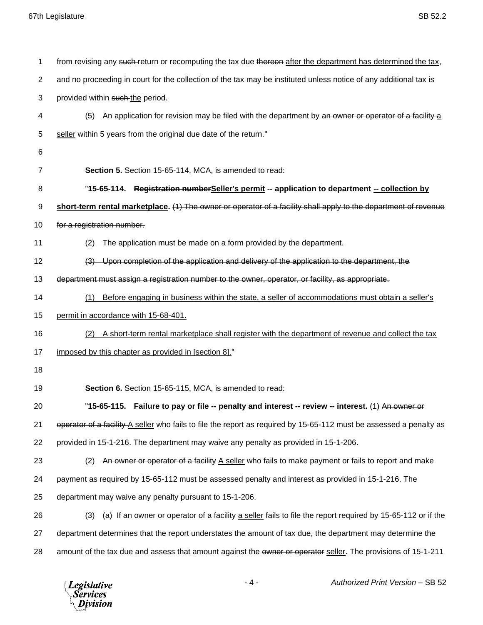| 1              | from revising any such return or recomputing the tax due thereon after the department has determined the tax,       |
|----------------|---------------------------------------------------------------------------------------------------------------------|
| $\overline{c}$ | and no proceeding in court for the collection of the tax may be instituted unless notice of any additional tax is   |
| 3              | provided within such the period.                                                                                    |
| 4              | An application for revision may be filed with the department by an owner or operator of a facility a<br>(5)         |
| 5              | seller within 5 years from the original due date of the return."                                                    |
| 6              |                                                                                                                     |
| 7              | Section 5. Section 15-65-114, MCA, is amended to read:                                                              |
| 8              | "15-65-114. Registration numberSeller's permit -- application to department -- collection by                        |
| 9              | short-term rental marketplace. (1) The owner or operator of a facility shall apply to the department of revenue     |
| 10             | for a registration number.                                                                                          |
| 11             | (2) The application must be made on a form provided by the department.                                              |
| 12             | (3) Upon completion of the application and delivery of the application to the department, the                       |
| 13             | department must assign a registration number to the owner, operator, or facility, as appropriate.                   |
| 14             | Before engaging in business within the state, a seller of accommodations must obtain a seller's<br>(1)              |
| 15             | permit in accordance with 15-68-401.                                                                                |
| 16             | A short-term rental marketplace shall register with the department of revenue and collect the tax<br>(2)            |
| 17             | imposed by this chapter as provided in [section 8]."                                                                |
| 18             |                                                                                                                     |
| 19             | Section 6. Section 15-65-115, MCA, is amended to read:                                                              |
| 20             | "15-65-115. Failure to pay or file -- penalty and interest -- review -- interest. (1) An owner or                   |
| 21             | operator of a facility A seller who fails to file the report as required by 15-65-112 must be assessed a penalty as |
| 22             | provided in 15-1-216. The department may waive any penalty as provided in 15-1-206.                                 |
| 23             | An owner or operator of a facility A seller who fails to make payment or fails to report and make<br>(2)            |
| 24             | payment as required by 15-65-112 must be assessed penalty and interest as provided in 15-1-216. The                 |
| 25             | department may waive any penalty pursuant to 15-1-206.                                                              |
| 26             | (a) If an owner or operator of a facility a seller fails to file the report required by 15-65-112 or if the<br>(3)  |
| 27             | department determines that the report understates the amount of tax due, the department may determine the           |
| 28             | amount of the tax due and assess that amount against the owner or operator seller. The provisions of 15-1-211       |



- 4 - *Authorized Print Version* – SB 52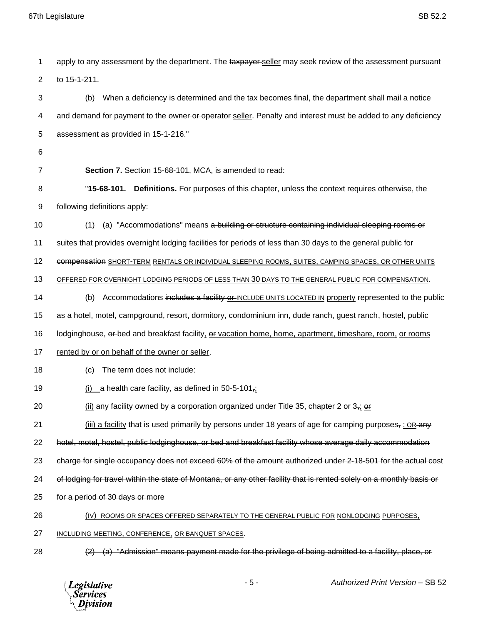1 apply to any assessment by the department. The taxpayer seller may seek review of the assessment pursuant to 15-1-211. (b) When a deficiency is determined and the tax becomes final, the department shall mail a notice 4 and demand for payment to the owner or operator seller. Penalty and interest must be added to any deficiency assessment as provided in 15-1-216." 6 **Section 7.** Section 15-68-101, MCA, is amended to read: "**15-68-101. Definitions.** For purposes of this chapter, unless the context requires otherwise, the following definitions apply: (1) (a) "Accommodations" means a building or structure containing individual sleeping rooms or suites that provides overnight lodging facilities for periods of less than 30 days to the general public for **compensation** SHORT-TERM RENTALS OR INDIVIDUAL SLEEPING ROOMS, SUITES, CAMPING SPACES, OR OTHER UNITS OFFERED FOR OVERNIGHT LODGING PERIODS OF LESS THAN 30 DAYS TO THE GENERAL PUBLIC FOR COMPENSATION. 14 (b) Accommodations includes a facility or INCLUDE UNITS LOCATED IN property represented to the public as a hotel, motel, campground, resort, dormitory, condominium inn, dude ranch, guest ranch, hostel, public 16 lodginghouse, er-bed and breakfast facility, er vacation home, home, apartment, timeshare, room, or rooms 17 rented by or on behalf of the owner or seller. (c) The term does not include: 19 (i) a health care facility, as defined in  $50-5-101$ ;  $\frac{1}{2}$  (ii) any facility owned by a corporation organized under Title 35, chapter 2 or 3. 21 (iii) a facility that is used primarily by persons under 18 years of age for camping purposes,  $\sqrt{OR-APY}$  hotel, motel, hostel, public lodginghouse, or bed and breakfast facility whose average daily accommodation charge for single occupancy does not exceed 60% of the amount authorized under 2-18-501 for the actual cost 24 of lodging for travel within the state of Montana, or any other facility that is rented solely on a monthly basis or for a period of 30 days or more 26 (IV) ROOMS OR SPACES OFFERED SEPARATELY TO THE GENERAL PUBLIC FOR NONLODGING PURPOSES, 27 INCLUDING MEETING, CONFERENCE, OR BANQUET SPACES. (2) (a) "Admission" means payment made for the privilege of being admitted to a facility, place, or

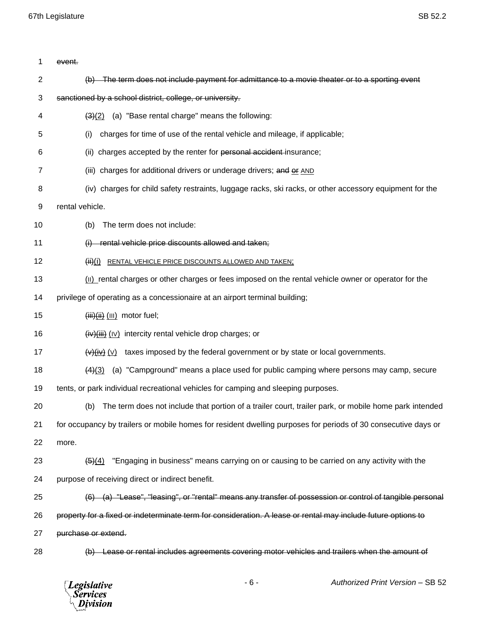| 1  | event.                                                                                                           |
|----|------------------------------------------------------------------------------------------------------------------|
| 2  | (b) The term does not include payment for admittance to a movie theater or to a sporting event                   |
| 3  | sanctioned by a school district, college, or university.                                                         |
| 4  | $\frac{1}{2}(2)$ (a) "Base rental charge" means the following:                                                   |
| 5  | charges for time of use of the rental vehicle and mileage, if applicable;<br>(i)                                 |
| 6  | charges accepted by the renter for personal accident insurance;<br>(ii)                                          |
| 7  | charges for additional drivers or underage drivers; and or AND<br>(iii)                                          |
| 8  | (iv) charges for child safety restraints, luggage racks, ski racks, or other accessory equipment for the         |
| 9  | rental vehicle.                                                                                                  |
| 10 | The term does not include:<br>(b)                                                                                |
| 11 | -rental vehicle price discounts allowed and taken;<br>$\leftrightarrow$                                          |
| 12 | (ii) RENTAL VEHICLE PRICE DISCOUNTS ALLOWED AND TAKEN;                                                           |
| 13 | (II) rental charges or other charges or fees imposed on the rental vehicle owner or operator for the             |
| 14 | privilege of operating as a concessionaire at an airport terminal building;                                      |
| 15 | $(iii)(ii)$ (III) motor fuel;                                                                                    |
| 16 | $f(x)$ (iii) (IV) intercity rental vehicle drop charges; or                                                      |
| 17 | taxes imposed by the federal government or by state or local governments.<br>$(v)$ (iv) $(v)$                    |
| 18 | (a) "Campground" means a place used for public camping where persons may camp, secure<br>(4)(3)                  |
| 19 | tents, or park individual recreational vehicles for camping and sleeping purposes.                               |
| 20 | (b) The term does not include that portion of a trailer court, trailer park, or mobile home park intended        |
| 21 | for occupancy by trailers or mobile homes for resident dwelling purposes for periods of 30 consecutive days or   |
| 22 | more.                                                                                                            |
| 23 | "Engaging in business" means carrying on or causing to be carried on any activity with the<br>$\frac{(5)(4)}{2}$ |
| 24 | purpose of receiving direct or indirect benefit.                                                                 |
| 25 | (6) (a) "Lease", "leasing", or "rental" means any transfer of possession or control of tangible personal         |
| 26 | property for a fixed or indeterminate term for consideration. A lease or rental may include future options to    |
| 27 | purchase or extend.                                                                                              |
| 28 | Lease or rental includes agreements covering motor vehicles and trailers when the amount of                      |

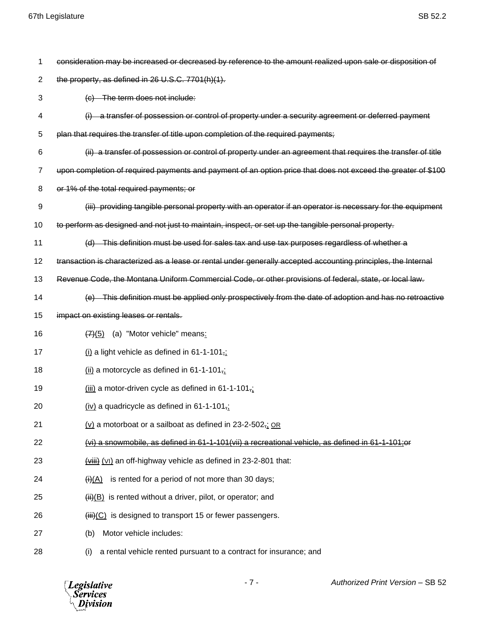| 1              | consideration may be increased or decreased by reference to the amount realized upon sale or disposition of    |
|----------------|----------------------------------------------------------------------------------------------------------------|
| $\overline{2}$ | the property, as defined in 26 U.S.C. 7701(h)(1).                                                              |
| 3              | (c) The term does not include:                                                                                 |
| 4              | $(i)$ a transfer of possession or control of property under a security agreement or deferred payment           |
| 5              | plan that requires the transfer of title upon completion of the required payments;                             |
| 6              | (ii) a transfer of possession or control of property under an agreement that requires the transfer of title    |
| 7              | upon completion of required payments and payment of an option price that does not exceed the greater of \$100  |
| 8              | or 1% of the total required payments; or                                                                       |
| 9              | (iii) providing tangible personal property with an operator if an operator is necessary for the equipment      |
| 10             | to perform as designed and not just to maintain, inspect, or set up the tangible personal property.            |
| 11             | This definition must be used for sales tax and use tax purposes regardless of whether a<br>$\Theta$            |
| 12             | transaction is characterized as a lease or rental under generally accepted accounting principles, the Internal |
| 13             | Revenue Code, the Montana Uniform Commercial Code, or other provisions of federal, state, or local law.        |
| 14             | (e) This definition must be applied only prospectively from the date of adoption and has no retroactive        |
| 15             | impact on existing leases or rentals.                                                                          |
| 16             | (a) "Motor vehicle" means:<br>(7)(5)                                                                           |
| 17             | (i) a light vehicle as defined in $61-1-101$ <sub>7</sub> ;                                                    |
| 18             | (ii) a motorcycle as defined in $61-1-101$ <sub>7</sub> ;                                                      |
| 19             | $(iii)$ a motor-driven cycle as defined in 61-1-101,                                                           |
| 20             | $(iv)$ a quadricycle as defined in 61-1-101,                                                                   |
| 21             | (v) a motorboat or a sailboat as defined in $23-2-502$ <sub>7</sub> ; OR                                       |
| 22             | (vi) a snowmobile, as defined in 61-1-101(vii) a recreational vehicle, as defined in 61-1-101; or              |
| 23             | $\frac{f(vii)}{g(vi)}$ an off-highway vehicle as defined in 23-2-801 that:                                     |
| 24             | is rented for a period of not more than 30 days;<br>$\overline{(i)(A)}$                                        |
| 25             | $(ii)(B)$ is rented without a driver, pilot, or operator; and                                                  |
| 26             | $\overline{\text{Hil}(C)}$ is designed to transport 15 or fewer passengers.                                    |
| 27             | Motor vehicle includes:<br>(b)                                                                                 |
| 28             | a rental vehicle rented pursuant to a contract for insurance; and<br>(i)                                       |

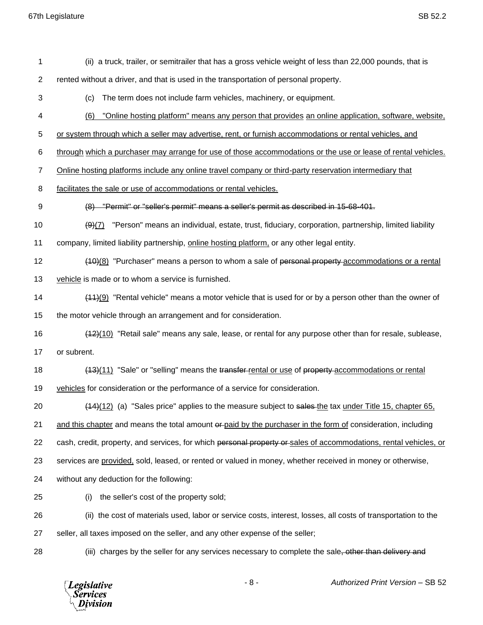| 1              | (ii) a truck, trailer, or semitrailer that has a gross vehicle weight of less than 22,000 pounds, that is         |
|----------------|-------------------------------------------------------------------------------------------------------------------|
| 2              | rented without a driver, and that is used in the transportation of personal property.                             |
| 3              | The term does not include farm vehicles, machinery, or equipment.<br>(c)                                          |
| 4              | "Online hosting platform" means any person that provides an online application, software, website,<br>(6)         |
| 5              | or system through which a seller may advertise, rent, or furnish accommodations or rental vehicles, and           |
| 6              | through which a purchaser may arrange for use of those accommodations or the use or lease of rental vehicles.     |
| $\overline{7}$ | Online hosting platforms include any online travel company or third-party reservation intermediary that           |
| 8              | facilitates the sale or use of accommodations or rental vehicles.                                                 |
| 9              | (8) "Permit" or "seller's permit" means a seller's permit as described in 15-68-401.                              |
| 10             | "Person" means an individual, estate, trust, fiduciary, corporation, partnership, limited liability<br>(9)(7)     |
| 11             | company, limited liability partnership, online hosting platform, or any other legal entity.                       |
| 12             | (40)(8) "Purchaser" means a person to whom a sale of personal property-accommodations or a rental                 |
| 13             | vehicle is made or to whom a service is furnished.                                                                |
| 14             | $(11)(9)$ "Rental vehicle" means a motor vehicle that is used for or by a person other than the owner of          |
| 15             | the motor vehicle through an arrangement and for consideration.                                                   |
| 16             | (12)(10) "Retail sale" means any sale, lease, or rental for any purpose other than for resale, sublease,          |
| 17             | or subrent.                                                                                                       |
| 18             | (13)(11) "Sale" or "selling" means the transfer-rental or use of property-accommodations or rental                |
| 19             | vehicles for consideration or the performance of a service for consideration.                                     |
| 20             | (44)(12) (a) "Sales price" applies to the measure subject to sales-the tax under Title 15, chapter 65,            |
| 21             | and this chapter and means the total amount or paid by the purchaser in the form of consideration, including      |
| 22             | cash, credit, property, and services, for which personal property or-sales of accommodations, rental vehicles, or |
| 23             | services are provided, sold, leased, or rented or valued in money, whether received in money or otherwise,        |
| 24             | without any deduction for the following:                                                                          |
| 25             | the seller's cost of the property sold;<br>(i)                                                                    |
| 26             | (ii) the cost of materials used, labor or service costs, interest, losses, all costs of transportation to the     |
| 27             | seller, all taxes imposed on the seller, and any other expense of the seller;                                     |
| 28             | (iii) charges by the seller for any services necessary to complete the sale, other than delivery and              |

*Legislative*<br>Services<br>*Division*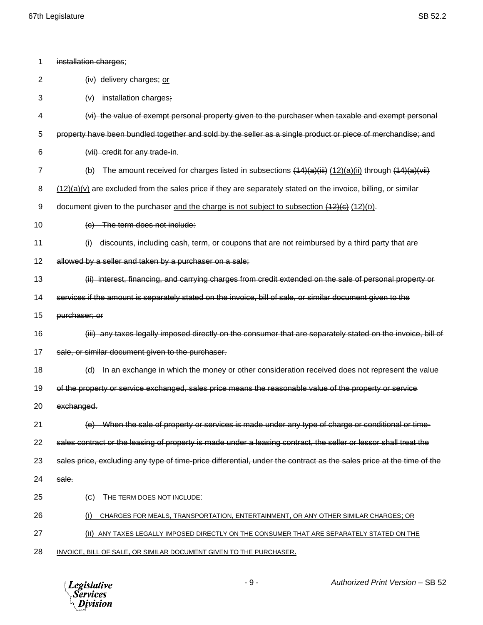| 1  | installation charges;                                                                                                |
|----|----------------------------------------------------------------------------------------------------------------------|
| 2  | (iv) delivery charges; or                                                                                            |
| 3  | installation charges;<br>(v)                                                                                         |
| 4  | (vi) the value of exempt personal property given to the purchaser when taxable and exempt personal                   |
| 5  | property have been bundled together and sold by the seller as a single product or piece of merchandise; and          |
| 6  | (vii) credit for any trade-in.                                                                                       |
| 7  | The amount received for charges listed in subsections $(14)(a)(iii)(12)(a)(ii)$ through $(14)(a)(iii)$<br>(b)        |
| 8  | $(12)(a)(v)$ are excluded from the sales price if they are separately stated on the invoice, billing, or similar     |
| 9  | document given to the purchaser and the charge is not subject to subsection (12)(e).                                 |
| 10 | The term does not include:<br>$\left($ G $\right)$                                                                   |
| 11 | (i) discounts, including cash, term, or coupons that are not reimbursed by a third party that are                    |
| 12 | allowed by a seller and taken by a purchaser on a sale;                                                              |
| 13 | (ii) interest, financing, and carrying charges from credit extended on the sale of personal property or              |
| 14 | services if the amount is separately stated on the invoice, bill of sale, or similar document given to the           |
| 15 | purchaser; or                                                                                                        |
| 16 | (iii) any taxes legally imposed directly on the consumer that are separately stated on the invoice, bill of          |
| 17 | sale, or similar document given to the purchaser.                                                                    |
| 18 | (d) In an exchange in which the money or other consideration received does not represent the value                   |
| 19 | of the property or service exchanged, sales price means the reasonable value of the property or service              |
| 20 | exchanged.                                                                                                           |
| 21 | (e) When the sale of property or services is made under any type of charge or conditional or time-                   |
| 22 | sales contract or the leasing of property is made under a leasing contract, the seller or lessor shall treat the     |
| 23 | sales price, excluding any type of time-price differential, under the contract as the sales price at the time of the |
| 24 | sale.                                                                                                                |
| 25 | THE TERM DOES NOT INCLUDE:<br>(C)                                                                                    |
| 26 | (1)<br>CHARGES FOR MEALS, TRANSPORTATION, ENTERTAINMENT, OR ANY OTHER SIMILAR CHARGES; OR                            |
| 27 | ANY TAXES LEGALLY IMPOSED DIRECTLY ON THE CONSUMER THAT ARE SEPARATELY STATED ON THE<br>(11)                         |
| 28 | INVOICE, BILL OF SALE, OR SIMILAR DOCUMENT GIVEN TO THE PURCHASER.                                                   |

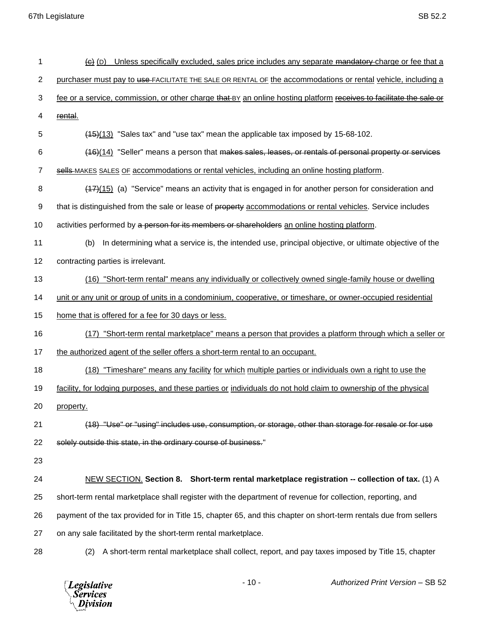| 1              | $\overline{6}$ (D) Unless specifically excluded, sales price includes any separate mandatory charge or fee that a   |
|----------------|---------------------------------------------------------------------------------------------------------------------|
| $\overline{c}$ | purchaser must pay to use-FACILITATE THE SALE OR RENTAL OF the accommodations or rental vehicle, including a        |
| 3              | fee or a service, commission, or other charge that-BY an online hosting platform receives to facilitate the sale or |
| 4              | rental.                                                                                                             |
| 5              | $(15)(13)$ "Sales tax" and "use tax" mean the applicable tax imposed by 15-68-102.                                  |
| 6              | (16)(14) "Seller" means a person that makes sales, leases, or rentals of personal property or services              |
| 7              | sells-MAKES SALES OF accommodations or rental vehicles, including an online hosting platform.                       |
| 8              | $(47)(15)$ (a) "Service" means an activity that is engaged in for another person for consideration and              |
| 9              | that is distinguished from the sale or lease of property accommodations or rental vehicles. Service includes        |
| 10             | activities performed by a person for its members or shareholders an online hosting platform.                        |
| 11             | In determining what a service is, the intended use, principal objective, or ultimate objective of the<br>(b)        |
| 12             | contracting parties is irrelevant.                                                                                  |
| 13             | (16) "Short-term rental" means any individually or collectively owned single-family house or dwelling               |
| 14             | unit or any unit or group of units in a condominium, cooperative, or timeshare, or owner-occupied residential       |
| 15             | home that is offered for a fee for 30 days or less.                                                                 |
| 16             | "Short-term rental marketplace" means a person that provides a platform through which a seller or<br>(17)           |
| 17             | the authorized agent of the seller offers a short-term rental to an occupant.                                       |
| 18             | (18) "Timeshare" means any facility for which multiple parties or individuals own a right to use the                |
| 19             | facility, for lodging purposes, and these parties or individuals do not hold claim to ownership of the physical     |
| 20             | property.                                                                                                           |
| 21             | (18) "Use" or "using" includes use, consumption, or storage, other than storage for resale or for use               |
| 22             | solely outside this state, in the ordinary course of business."                                                     |
| 23             |                                                                                                                     |
| 24             | NEW SECTION. Section 8. Short-term rental marketplace registration -- collection of tax. (1) A                      |
| 25             | short-term rental marketplace shall register with the department of revenue for collection, reporting, and          |
| 26             | payment of the tax provided for in Title 15, chapter 65, and this chapter on short-term rentals due from sellers    |
| 27             | on any sale facilitated by the short-term rental marketplace.                                                       |
| 28             | A short-term rental marketplace shall collect, report, and pay taxes imposed by Title 15, chapter<br>(2)            |



- 10 - *Authorized Print Version* – SB 52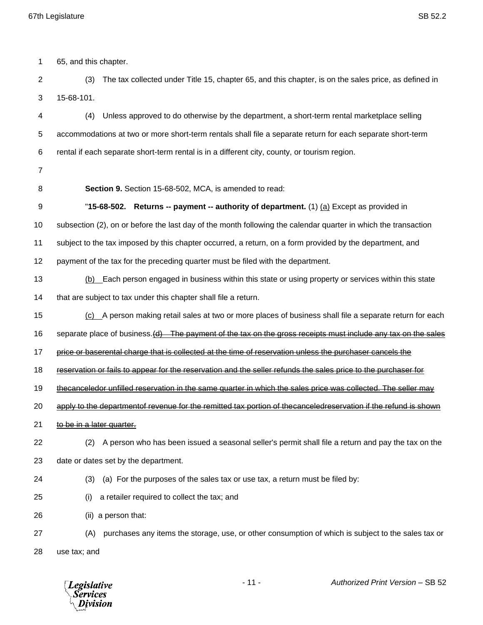65, and this chapter. (3) The tax collected under Title 15, chapter 65, and this chapter, is on the sales price, as defined in 15-68-101. (4) Unless approved to do otherwise by the department, a short-term rental marketplace selling accommodations at two or more short-term rentals shall file a separate return for each separate short-term rental if each separate short-term rental is in a different city, county, or tourism region. **Section 9.** Section 15-68-502, MCA, is amended to read: "**15-68-502. Returns -- payment -- authority of department.** (1) (a) Except as provided in subsection (2), on or before the last day of the month following the calendar quarter in which the transaction subject to the tax imposed by this chapter occurred, a return, on a form provided by the department, and payment of the tax for the preceding quarter must be filed with the department. (b) Each person engaged in business within this state or using property or services within this state that are subject to tax under this chapter shall file a return. (c) A person making retail sales at two or more places of business shall file a separate return for each 16 separate place of business. (d) The payment of the tax on the gross receipts must include any tax on the sales 17 price or baserental charge that is collected at the time of reservation unless the purchaser cancels the reservation or fails to appear for the reservation and the seller refunds the sales price to the purchaser for thecanceledor unfilled reservation in the same quarter in which the sales price was collected. The seller may apply to the departmentof revenue for the remitted tax portion of thecanceledreservation if the refund is shown to be in a later quarter. (2) A person who has been issued a seasonal seller's permit shall file a return and pay the tax on the date or dates set by the department. (3) (a) For the purposes of the sales tax or use tax, a return must be filed by: (i) a retailer required to collect the tax; and (ii) a person that: (A) purchases any items the storage, use, or other consumption of which is subject to the sales tax or use tax; and

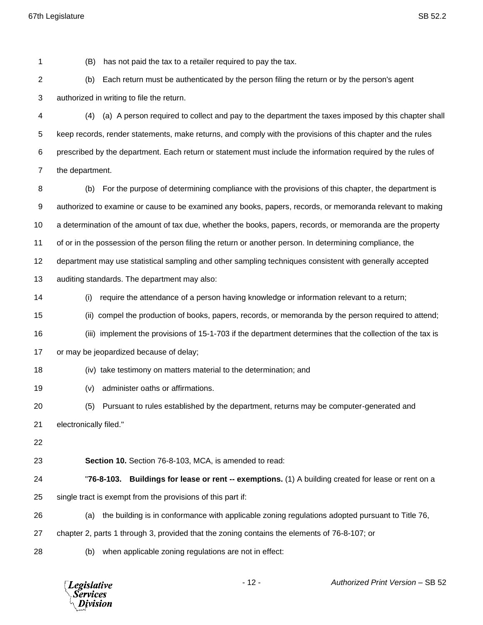(B) has not paid the tax to a retailer required to pay the tax. (b) Each return must be authenticated by the person filing the return or by the person's agent authorized in writing to file the return. (4) (a) A person required to collect and pay to the department the taxes imposed by this chapter shall keep records, render statements, make returns, and comply with the provisions of this chapter and the rules prescribed by the department. Each return or statement must include the information required by the rules of the department. (b) For the purpose of determining compliance with the provisions of this chapter, the department is authorized to examine or cause to be examined any books, papers, records, or memoranda relevant to making a determination of the amount of tax due, whether the books, papers, records, or memoranda are the property of or in the possession of the person filing the return or another person. In determining compliance, the department may use statistical sampling and other sampling techniques consistent with generally accepted auditing standards. The department may also: (i) require the attendance of a person having knowledge or information relevant to a return; (ii) compel the production of books, papers, records, or memoranda by the person required to attend; (iii) implement the provisions of 15-1-703 if the department determines that the collection of the tax is or may be jeopardized because of delay; (iv) take testimony on matters material to the determination; and (v) administer oaths or affirmations. (5) Pursuant to rules established by the department, returns may be computer-generated and electronically filed." **Section 10.** Section 76-8-103, MCA, is amended to read: "**76-8-103. Buildings for lease or rent -- exemptions.** (1) A building created for lease or rent on a single tract is exempt from the provisions of this part if: (a) the building is in conformance with applicable zoning regulations adopted pursuant to Title 76, chapter 2, parts 1 through 3, provided that the zoning contains the elements of 76-8-107; or (b) when applicable zoning regulations are not in effect:



- 12 - *Authorized Print Version* – SB 52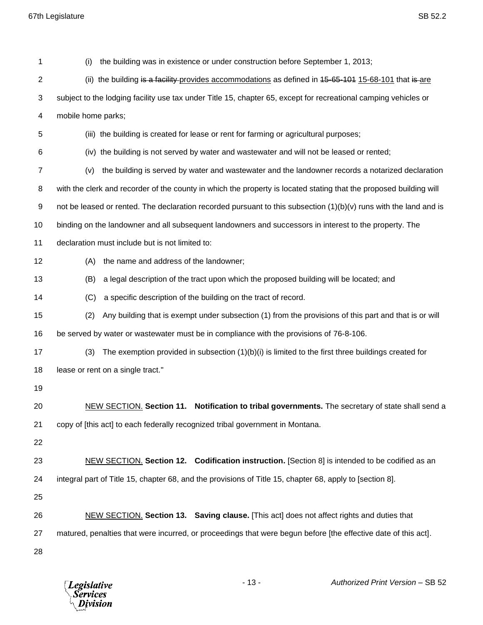| 1              | the building was in existence or under construction before September 1, 2013;<br>(i)                                |
|----------------|---------------------------------------------------------------------------------------------------------------------|
| $\overline{c}$ | (ii) the building is a facility provides accommodations as defined in 45-65-104 15-68-101 that is are               |
| 3              | subject to the lodging facility use tax under Title 15, chapter 65, except for recreational camping vehicles or     |
| 4              | mobile home parks;                                                                                                  |
| 5              | (iii) the building is created for lease or rent for farming or agricultural purposes;                               |
| 6              | (iv) the building is not served by water and wastewater and will not be leased or rented;                           |
| 7              | the building is served by water and wastewater and the landowner records a notarized declaration<br>(v)             |
| 8              | with the clerk and recorder of the county in which the property is located stating that the proposed building will  |
| 9              | not be leased or rented. The declaration recorded pursuant to this subsection $(1)(b)(v)$ runs with the land and is |
| 10             | binding on the landowner and all subsequent landowners and successors in interest to the property. The              |
| 11             | declaration must include but is not limited to:                                                                     |
| 12             | the name and address of the landowner;<br>(A)                                                                       |
| 13             | a legal description of the tract upon which the proposed building will be located; and<br>(B)                       |
| 14             | a specific description of the building on the tract of record.<br>(C)                                               |
| 15             | Any building that is exempt under subsection (1) from the provisions of this part and that is or will<br>(2)        |
| 16             | be served by water or wastewater must be in compliance with the provisions of 76-8-106.                             |
| 17             | The exemption provided in subsection $(1)(b)(i)$ is limited to the first three buildings created for<br>(3)         |
| 18             | lease or rent on a single tract."                                                                                   |
| 19             |                                                                                                                     |
| 20             | NEW SECTION. Section 11. Notification to tribal governments. The secretary of state shall send a                    |
| 21             | copy of [this act] to each federally recognized tribal government in Montana.                                       |
| 22             |                                                                                                                     |
| 23             | NEW SECTION. Section 12. Codification instruction. [Section 8] is intended to be codified as an                     |
| 24             | integral part of Title 15, chapter 68, and the provisions of Title 15, chapter 68, apply to [section 8].            |
| 25             |                                                                                                                     |
| 26             | NEW SECTION. Section 13. Saving clause. [This act] does not affect rights and duties that                           |
| 27             | matured, penalties that were incurred, or proceedings that were begun before [the effective date of this act].      |
| 28             |                                                                                                                     |